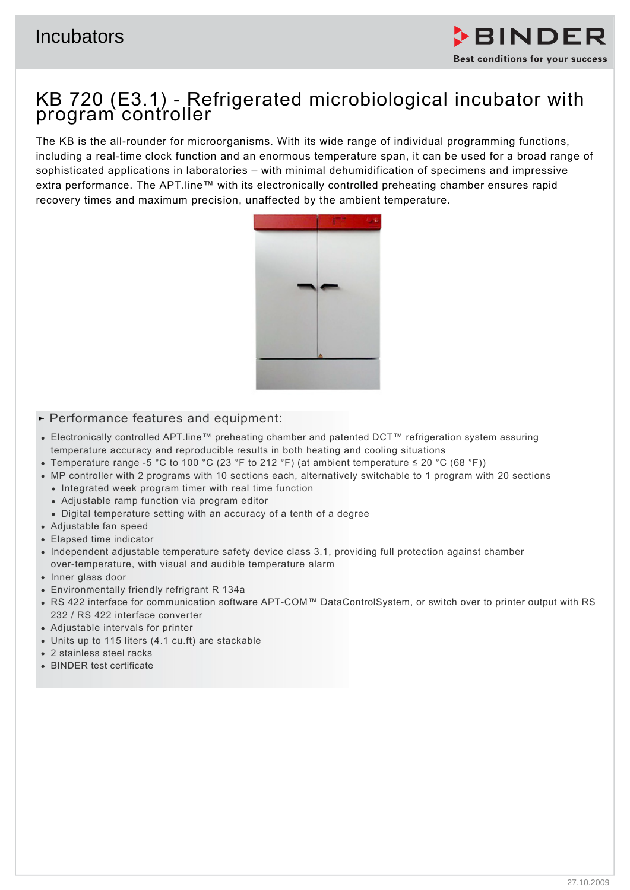

# KB 720 (E3.1) - Refrigerated microbiological incubator with program controller

The KB is the all-rounder for microorganisms. With its wide range of individual programming functions, including a real-time clock function and an enormous temperature span, it can be used for a broad range of sophisticated applications in laboratories – with minimal dehumidification of specimens and impressive extra performance. The APT.line™ with its electronically controlled preheating chamber ensures rapid recovery times and maximum precision, unaffected by the ambient temperature.



## $\blacktriangleright$  Performance features and equipment:

- Electronically controlled APT.line™ preheating chamber and patented DCT™ refrigeration system assuring temperature accuracy and reproducible results in both heating and cooling situations
- Temperature range -5 °C to 100 °C (23 °F to 212 °F) (at ambient temperature ≤ 20 °C (68 °F))
- MP controller with 2 programs with 10 sections each, alternatively switchable to 1 program with 20 sections
	- Integrated week program timer with real time function
	- Adjustable ramp function via program editor
	- Digital temperature setting with an accuracy of a tenth of a degree
- Adjustable fan speed
- Elapsed time indicator
- Independent adjustable temperature safety device class 3.1, providing full protection against chamber over-temperature, with visual and audible temperature alarm
- Inner glass door
- Environmentally friendly refrigrant R 134a
- RS 422 interface for communication software APT-COM™ DataControlSystem, or switch over to printer output with RS 232 / RS 422 interface converter
- Adjustable intervals for printer
- Units up to 115 liters (4.1 cu.ft) are stackable
- 2 stainless steel racks
- BINDER test certificate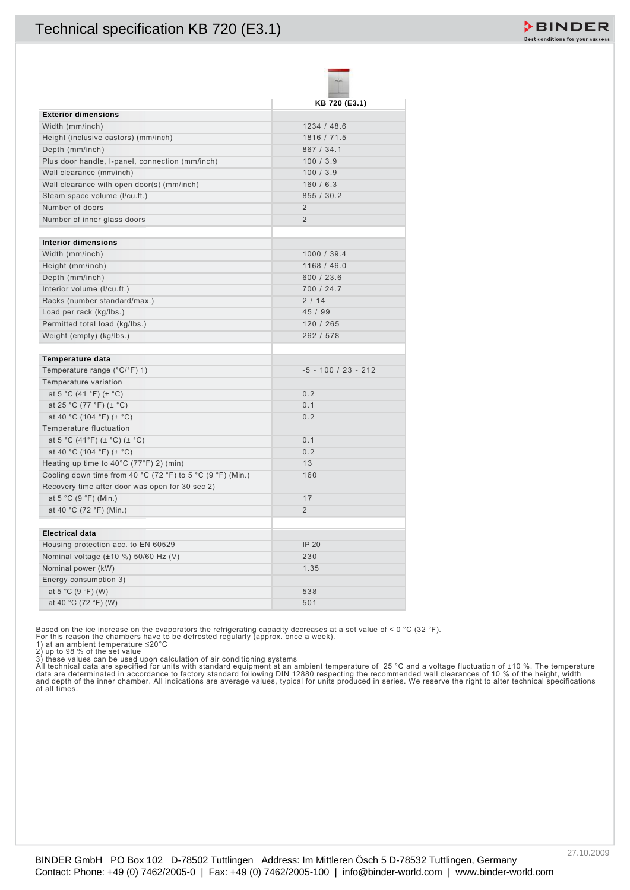|                                                                                                                                                                                                                                                                                                                                                                                                                                                                                                                                                                                                                                                | KB 720 (E3.1)             |  |
|------------------------------------------------------------------------------------------------------------------------------------------------------------------------------------------------------------------------------------------------------------------------------------------------------------------------------------------------------------------------------------------------------------------------------------------------------------------------------------------------------------------------------------------------------------------------------------------------------------------------------------------------|---------------------------|--|
| <b>Exterior dimensions</b>                                                                                                                                                                                                                                                                                                                                                                                                                                                                                                                                                                                                                     |                           |  |
| Width (mm/inch)                                                                                                                                                                                                                                                                                                                                                                                                                                                                                                                                                                                                                                | 1234 / 48.6               |  |
| Height (inclusive castors) (mm/inch)<br>Depth (mm/inch)                                                                                                                                                                                                                                                                                                                                                                                                                                                                                                                                                                                        | 1816 / 71.5<br>867 / 34.1 |  |
| Plus door handle, I-panel, connection (mm/inch)                                                                                                                                                                                                                                                                                                                                                                                                                                                                                                                                                                                                | 100/3.9                   |  |
| Wall clearance (mm/inch)                                                                                                                                                                                                                                                                                                                                                                                                                                                                                                                                                                                                                       | 100/3.9                   |  |
| Wall clearance with open door(s) (mm/inch)                                                                                                                                                                                                                                                                                                                                                                                                                                                                                                                                                                                                     | 160/6.3                   |  |
| Steam space volume (I/cu.ft.)                                                                                                                                                                                                                                                                                                                                                                                                                                                                                                                                                                                                                  | 855 / 30.2                |  |
| Number of doors                                                                                                                                                                                                                                                                                                                                                                                                                                                                                                                                                                                                                                | $\overline{2}$            |  |
| Number of inner glass doors                                                                                                                                                                                                                                                                                                                                                                                                                                                                                                                                                                                                                    | $\overline{2}$            |  |
| <b>Interior dimensions</b>                                                                                                                                                                                                                                                                                                                                                                                                                                                                                                                                                                                                                     |                           |  |
| Width (mm/inch)                                                                                                                                                                                                                                                                                                                                                                                                                                                                                                                                                                                                                                | 1000 / 39.4               |  |
| Height (mm/inch)                                                                                                                                                                                                                                                                                                                                                                                                                                                                                                                                                                                                                               | 1168 / 46.0               |  |
| Depth (mm/inch)                                                                                                                                                                                                                                                                                                                                                                                                                                                                                                                                                                                                                                | 600 / 23.6                |  |
| Interior volume (I/cu.ft.)                                                                                                                                                                                                                                                                                                                                                                                                                                                                                                                                                                                                                     | 700 / 24.7                |  |
| Racks (number standard/max.)                                                                                                                                                                                                                                                                                                                                                                                                                                                                                                                                                                                                                   | 2/14                      |  |
| Load per rack (kg/lbs.)                                                                                                                                                                                                                                                                                                                                                                                                                                                                                                                                                                                                                        | 45 / 99                   |  |
| Permitted total load (kg/lbs.)                                                                                                                                                                                                                                                                                                                                                                                                                                                                                                                                                                                                                 | 120 / 265                 |  |
| Weight (empty) (kg/lbs.)                                                                                                                                                                                                                                                                                                                                                                                                                                                                                                                                                                                                                       | 262 / 578                 |  |
| Temperature data                                                                                                                                                                                                                                                                                                                                                                                                                                                                                                                                                                                                                               |                           |  |
| Temperature range (°C/°F) 1)                                                                                                                                                                                                                                                                                                                                                                                                                                                                                                                                                                                                                   | $-5 - 100 / 23 - 212$     |  |
| Temperature variation                                                                                                                                                                                                                                                                                                                                                                                                                                                                                                                                                                                                                          |                           |  |
| at 5 °C (41 °F) ( $\pm$ °C)                                                                                                                                                                                                                                                                                                                                                                                                                                                                                                                                                                                                                    | 0.2                       |  |
| at 25 °C (77 °F) ( $\pm$ °C)                                                                                                                                                                                                                                                                                                                                                                                                                                                                                                                                                                                                                   | 0.1                       |  |
| at 40 °C (104 °F) ( $\pm$ °C)                                                                                                                                                                                                                                                                                                                                                                                                                                                                                                                                                                                                                  | 0.2                       |  |
| Temperature fluctuation                                                                                                                                                                                                                                                                                                                                                                                                                                                                                                                                                                                                                        |                           |  |
| at 5 °C (41°F) ( $\pm$ °C) ( $\pm$ °C)                                                                                                                                                                                                                                                                                                                                                                                                                                                                                                                                                                                                         | 0.1                       |  |
| at 40 °C (104 °F) ( $\pm$ °C)                                                                                                                                                                                                                                                                                                                                                                                                                                                                                                                                                                                                                  | 0.2                       |  |
| Heating up time to 40°C (77°F) 2) (min)<br>Cooling down time from 40 °C (72 °F) to 5 °C (9 °F) (Min.)                                                                                                                                                                                                                                                                                                                                                                                                                                                                                                                                          | 13<br>160                 |  |
| Recovery time after door was open for 30 sec 2)                                                                                                                                                                                                                                                                                                                                                                                                                                                                                                                                                                                                |                           |  |
| at 5 °C (9 °F) (Min.)                                                                                                                                                                                                                                                                                                                                                                                                                                                                                                                                                                                                                          | 17                        |  |
| at 40 °C (72 °F) (Min.)                                                                                                                                                                                                                                                                                                                                                                                                                                                                                                                                                                                                                        | $\overline{2}$            |  |
|                                                                                                                                                                                                                                                                                                                                                                                                                                                                                                                                                                                                                                                |                           |  |
| <b>Electrical data</b><br>Housing protection acc. to EN 60529                                                                                                                                                                                                                                                                                                                                                                                                                                                                                                                                                                                  | <b>IP 20</b>              |  |
| Nominal voltage (±10 %) 50/60 Hz (V)                                                                                                                                                                                                                                                                                                                                                                                                                                                                                                                                                                                                           | 230                       |  |
| Nominal power (kW)                                                                                                                                                                                                                                                                                                                                                                                                                                                                                                                                                                                                                             | 1.35                      |  |
| Energy consumption 3)                                                                                                                                                                                                                                                                                                                                                                                                                                                                                                                                                                                                                          |                           |  |
| at 5 °C (9 °F) (W)                                                                                                                                                                                                                                                                                                                                                                                                                                                                                                                                                                                                                             | 538                       |  |
|                                                                                                                                                                                                                                                                                                                                                                                                                                                                                                                                                                                                                                                | 501                       |  |
| at 40 °C (72 °F) (W)<br>Based on the ice increase on the evaporators the refrigerating capacity decreases at a set value of < 0 °C (32 °F).<br>For this reason the chambers have to be defrosted regularly (approx. once a week).<br>1) at an ambient temperature $\leq$ 20°C<br>2) up to 98 % of the set value<br>3) these values can be used upon calculation of air conditioning systems<br>All technical data are specified for units with standard equipment at an ambient temperature of 25 °C and a voltage fluctuation of ±10 %. The is data are determinated in accordance to factory standard equipment at an ambie<br>at all times. |                           |  |

2) up to 98 % of the set value<br>3) these values can be used upon calculation of air conditioning systems<br>All technical data are specified for units with standard equipment at an ambient temperature of 25 °C and a voltage fl

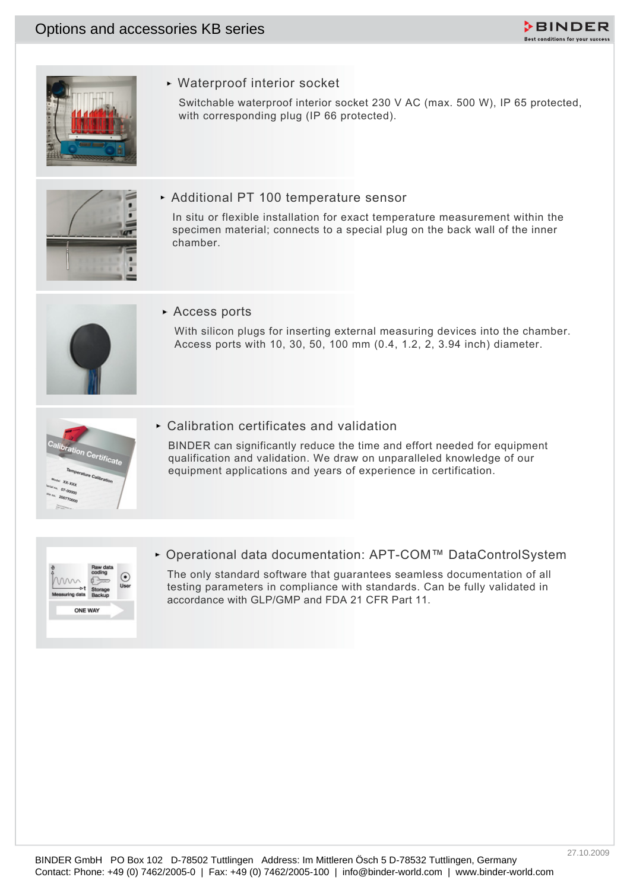



Waterproof interior socket

Switchable waterproof interior socket 230 V AC (max. 500 W), IP 65 protected, with corresponding plug (IP 66 protected).



Additional PT 100 temperature sensor

Contact: Phone: +49 (4) 7462-2006-0 | Fax: +49 (1) 7462-2006-0 | Fax: +49 (1) 7462-2006-0 | info@binder-world.com | Particular contact: 232 V AC (reas. 600 W). IP 05 promotes, when the contractions and particular comments In situ or flexible installation for exact temperature measurement within the specimen material; connects to a special plug on the back wall of the inner chamber.



Access ports

With silicon plugs for inserting external measuring devices into the chamber. Access ports with 10, 30, 50, 100 mm (0.4, 1.2, 2, 3.94 inch) diameter.



Calibration certificates and validation

BINDER can significantly reduce the time and effort needed for equipment qualification and validation. We draw on unparalleled knowledge of our equipment applications and years of experience in certification.



Operational data documentation: APT-COM™ DataControlSystem

The only standard software that guarantees seamless documentation of all testing parameters in compliance with standards. Can be fully validated in accordance with GLP/GMP and FDA 21 CFR Part 11.